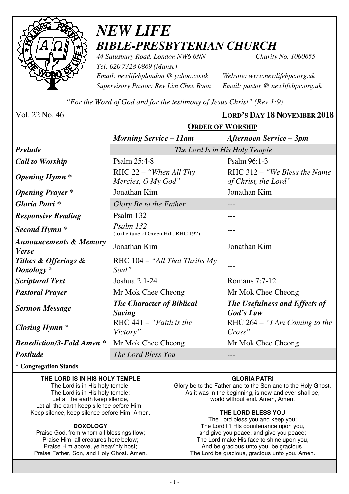

## *NEW LIFE BIBLE-PRESBYTERIAN CHURCH*

*44 Salusbury Road, London NW6 6NN Charity No. 1060655 Tel: 020 7328 0869 (Manse) Email: newlifebplondon @ yahoo.co.uk Website: www.newlifebpc.org.uk Supervisory Pastor: Rev Lim Chee Boon Email: pastor @ newlifebpc.org.uk* 

*"For the Word of God and for the testimony of Jesus Christ" (Rev 1:9)*

**ORDER OF WORSHIP**

Vol. 22 No. 46 **LORD'S DAY 18 NOVEMBER 2018**

|                                                   | <b>Morning Service – 11am</b>                     | <b>Afternoon Service - 3pm</b>                        |  |  |  |  |
|---------------------------------------------------|---------------------------------------------------|-------------------------------------------------------|--|--|--|--|
| <b>Prelude</b>                                    | The Lord Is in His Holy Temple                    |                                                       |  |  |  |  |
| <b>Call to Worship</b>                            | Psalm 25:4-8                                      | Psalm 96:1-3                                          |  |  |  |  |
| <b>Opening Hymn</b> *                             | RHC $22 -$ "When All Thy"<br>Mercies, O My God"   | RHC 312 – "We Bless the Name"<br>of Christ, the Lord" |  |  |  |  |
| <b>Opening Prayer</b> *                           | Jonathan Kim                                      | Jonathan Kim                                          |  |  |  |  |
| Gloria Patri *                                    | Glory Be to the Father                            |                                                       |  |  |  |  |
| <b>Responsive Reading</b>                         | Psalm 132                                         |                                                       |  |  |  |  |
| Second Hymn <sup>*</sup>                          | Psalm 132<br>(to the tune of Green Hill, RHC 192) |                                                       |  |  |  |  |
| <b>Announcements &amp; Memory</b><br><b>Verse</b> | Jonathan Kim                                      | Jonathan Kim                                          |  |  |  |  |
| Tithes & Offerings &<br>$Doxology *$              | RHC $104 - "All That Thrills My$<br>Soul"         |                                                       |  |  |  |  |
| <b>Scriptural Text</b>                            | Joshua $2:1-24$                                   | Romans 7:7-12                                         |  |  |  |  |
| <b>Pastoral Prayer</b>                            | Mr Mok Chee Cheong                                | Mr Mok Chee Cheong                                    |  |  |  |  |
| <b>Sermon Message</b>                             | <b>The Character of Biblical</b><br>Saving        | The Usefulness and Effects of<br>God's Law            |  |  |  |  |
| <b>Closing Hymn</b> *                             | RHC $441 -$ "Faith is the<br>Victory"             | RHC $264 - "I Am Coming to the"$<br>Cross'            |  |  |  |  |
| <b>Benediction/3-Fold Amen*</b>                   | Mr Mok Chee Cheong                                | Mr Mok Chee Cheong                                    |  |  |  |  |
| <b>Postlude</b>                                   | The Lord Bless You                                | $- - -$                                               |  |  |  |  |

\* **Congregation Stands** 

#### **THE LORD IS IN HIS HOLY TEMPLE**

The Lord is in His holy temple, The Lord is in His holy temple: Let all the earth keep silence, Let all the earth keep silence before Him - Keep silence, keep silence before Him. Amen.

#### **DOXOLOGY**

Praise God, from whom all blessings flow; Praise Him, all creatures here below; Praise Him above, ye heav'nly host; Praise Father, Son, and Holy Ghost. Amen.

#### **GLORIA PATRI**

Glory be to the Father and to the Son and to the Holy Ghost, As it was in the beginning, is now and ever shall be, world without end. Amen, Amen.

#### **THE LORD BLESS YOU**

The Lord bless you and keep you; The Lord lift His countenance upon you, and give you peace, and give you peace; The Lord make His face to shine upon you, And be gracious unto you, be gracious, The Lord be gracious, gracious unto you. Amen.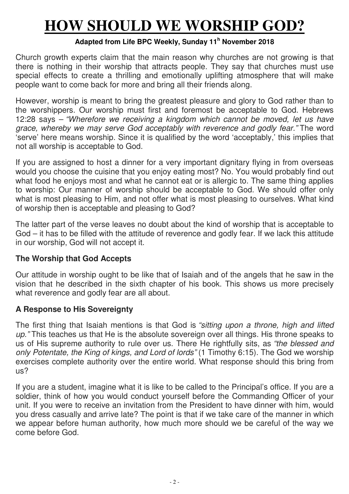# **HOW SHOULD WE WORSHIP GOD?**

#### **Adapted from Life BPC Weekly, Sunday 11<sup>h</sup> November 2018**

Church growth experts claim that the main reason why churches are not growing is that there is nothing in their worship that attracts people. They say that churches must use special effects to create a thrilling and emotionally uplifting atmosphere that will make people want to come back for more and bring all their friends along.

However, worship is meant to bring the greatest pleasure and glory to God rather than to the worshippers. Our worship must first and foremost be acceptable to God. Hebrews 12:28 says – "Wherefore we receiving a kingdom which cannot be moved, let us have grace, whereby we may serve God acceptably with reverence and godly fear." The word 'serve' here means worship. Since it is qualified by the word 'acceptably,' this implies that not all worship is acceptable to God.

If you are assigned to host a dinner for a very important dignitary flying in from overseas would you choose the cuisine that you enjoy eating most? No. You would probably find out what food he enjoys most and what he cannot eat or is allergic to. The same thing applies to worship: Our manner of worship should be acceptable to God. We should offer only what is most pleasing to Him, and not offer what is most pleasing to ourselves. What kind of worship then is acceptable and pleasing to God?

The latter part of the verse leaves no doubt about the kind of worship that is acceptable to God – it has to be filled with the attitude of reverence and godly fear. If we lack this attitude in our worship, God will not accept it.

### **The Worship that God Accepts**

Our attitude in worship ought to be like that of Isaiah and of the angels that he saw in the vision that he described in the sixth chapter of his book. This shows us more precisely what reverence and godly fear are all about.

### **A Response to His Sovereignty**

The first thing that Isaiah mentions is that God is "sitting upon a throne, high and lifted up." This teaches us that He is the absolute sovereign over all things. His throne speaks to us of His supreme authority to rule over us. There He rightfully sits, as "the blessed and only Potentate, the King of kings, and Lord of lords" (1 Timothy 6:15). The God we worship exercises complete authority over the entire world. What response should this bring from us?

If you are a student, imagine what it is like to be called to the Principal's office. If you are a soldier, think of how you would conduct yourself before the Commanding Officer of your unit. If you were to receive an invitation from the President to have dinner with him, would you dress casually and arrive late? The point is that if we take care of the manner in which we appear before human authority, how much more should we be careful of the way we come before God.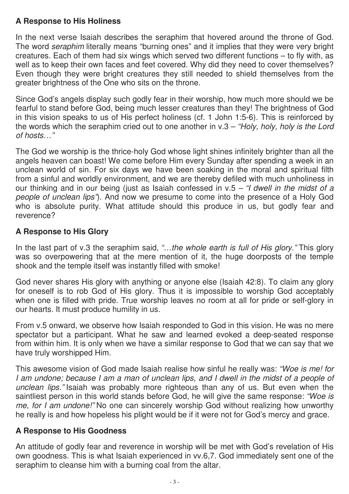## **A Response to His Holiness**

In the next verse Isaiah describes the seraphim that hovered around the throne of God. The word seraphim literally means "burning ones" and it implies that they were very bright creatures. Each of them had six wings which served two different functions – to fly with, as well as to keep their own faces and feet covered. Why did they need to cover themselves? Even though they were bright creatures they still needed to shield themselves from the greater brightness of the One who sits on the throne.

Since God's angels display such godly fear in their worship, how much more should we be fearful to stand before God, being much lesser creatures than they! The brightness of God in this vision speaks to us of His perfect holiness (cf. 1 John 1:5-6). This is reinforced by the words which the seraphim cried out to one another in  $v.3 - Holy$ , holy, holy is the Lord of hosts…"

The God we worship is the thrice-holy God whose light shines infinitely brighter than all the angels heaven can boast! We come before Him every Sunday after spending a week in an unclean world of sin. For six days we have been soaking in the moral and spiritual filth from a sinful and worldly environment, and we are thereby defiled with much unholiness in our thinking and in our being (just as Isaiah confessed in  $v.5 - r$  dwell in the midst of a people of unclean lips"). And now we presume to come into the presence of a Holy God who is absolute purity. What attitude should this produce in us, but godly fear and reverence?

## **A Response to His Glory**

In the last part of v.3 the seraphim said, "...the whole earth is full of His glory." This glory was so overpowering that at the mere mention of it, the huge doorposts of the temple shook and the temple itself was instantly filled with smoke!

God never shares His glory with anything or anyone else (Isaiah 42:8). To claim any glory for oneself is to rob God of His glory. Thus it is impossible to worship God acceptably when one is filled with pride. True worship leaves no room at all for pride or self-glory in our hearts. It must produce humility in us.

From v.5 onward, we observe how Isaiah responded to God in this vision. He was no mere spectator but a participant. What he saw and learned evoked a deep-seated response from within him. It is only when we have a similar response to God that we can say that we have truly worshipped Him.

This awesome vision of God made Isaiah realise how sinful he really was: "Woe is me! for I am undone; because I am a man of unclean lips, and I dwell in the midst of a people of unclean lips." Isaiah was probably more righteous than any of us. But even when the saintliest person in this world stands before God, he will give the same response: "Woe is me, for I am undone!" No one can sincerely worship God without realizing how unworthy he really is and how hopeless his plight would be if it were not for God's mercy and grace.

### **A Response to His Goodness**

An attitude of godly fear and reverence in worship will be met with God's revelation of His own goodness. This is what Isaiah experienced in vv.6,7. God immediately sent one of the seraphim to cleanse him with a burning coal from the altar.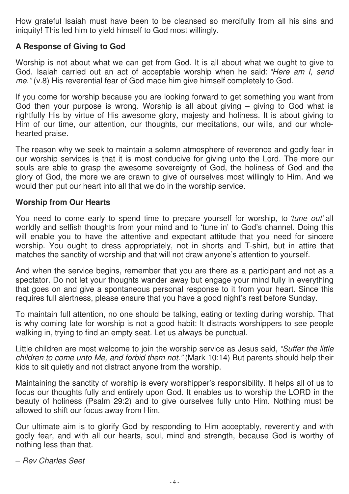How grateful Isaiah must have been to be cleansed so mercifully from all his sins and iniquity! This led him to yield himself to God most willingly.

## **A Response of Giving to God**

Worship is not about what we can get from God. It is all about what we ought to give to God. Isaiah carried out an act of acceptable worship when he said: "Here am I, send me." (v.8) His reverential fear of God made him give himself completely to God.

If you come for worship because you are looking forward to get something you want from God then your purpose is wrong. Worship is all about giving  $-$  giving to God what is rightfully His by virtue of His awesome glory, majesty and holiness. It is about giving to Him of our time, our attention, our thoughts, our meditations, our wills, and our wholehearted praise.

The reason why we seek to maintain a solemn atmosphere of reverence and godly fear in our worship services is that it is most conducive for giving unto the Lord. The more our souls are able to grasp the awesome sovereignty of God, the holiness of God and the glory of God, the more we are drawn to give of ourselves most willingly to Him. And we would then put our heart into all that we do in the worship service.

### **Worship from Our Hearts**

You need to come early to spend time to prepare yourself for worship, to 'tune out' all worldly and selfish thoughts from your mind and to 'tune in' to God's channel. Doing this will enable you to have the attentive and expectant attitude that you need for sincere worship. You ought to dress appropriately, not in shorts and T-shirt, but in attire that matches the sanctity of worship and that will not draw anyone's attention to yourself.

And when the service begins, remember that you are there as a participant and not as a spectator. Do not let your thoughts wander away but engage your mind fully in everything that goes on and give a spontaneous personal response to it from your heart. Since this requires full alertness, please ensure that you have a good night's rest before Sunday.

To maintain full attention, no one should be talking, eating or texting during worship. That is why coming late for worship is not a good habit: It distracts worshippers to see people walking in, trying to find an empty seat. Let us always be punctual.

Little children are most welcome to join the worship service as Jesus said, "Suffer the little children to come unto Me, and forbid them not." (Mark 10:14) But parents should help their kids to sit quietly and not distract anyone from the worship.

Maintaining the sanctity of worship is every worshipper's responsibility. It helps all of us to focus our thoughts fully and entirely upon God. It enables us to worship the LORD in the beauty of holiness (Psalm 29:2) and to give ourselves fully unto Him. Nothing must be allowed to shift our focus away from Him.

Our ultimate aim is to glorify God by responding to Him acceptably, reverently and with godly fear, and with all our hearts, soul, mind and strength, because God is worthy of nothing less than that.

– Rev Charles Seet